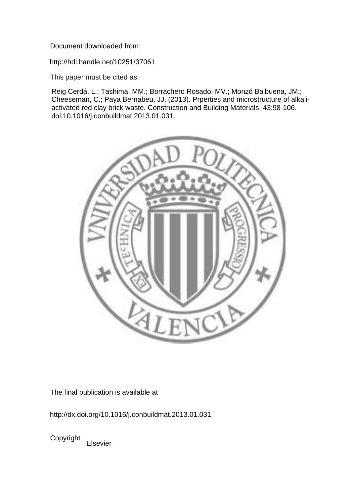Document downloaded from:

http://hdl.handle.net/10251/37061

This paper must be cited as:

Reig Cerdá, L.; Tashima, MM.; Borrachero Rosado, MV.; Monzó Balbuena, JM.; Cheeseman, C.; Paya Bernabeu, JJ. (2013). Prperties and microstructure of alkaliactivated red clay brick waste. Construction and Building Materials. 43:98-106. doi:10.1016/j.conbuildmat.2013.01.031.



The final publication is available at

http://dx.doi.org/10.1016/j.conbuildmat.2013.01.031

Copyright Elsevier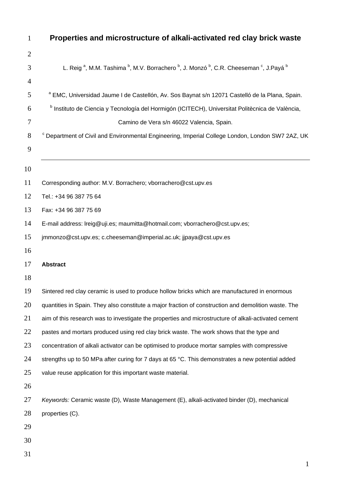| $\mathbf{1}$   | Properties and microstructure of alkali-activated red clay brick waste                                                                                      |
|----------------|-------------------------------------------------------------------------------------------------------------------------------------------------------------|
| $\overline{2}$ |                                                                                                                                                             |
| 3              | L. Reig <sup>a</sup> , M.M. Tashima <sup>b</sup> , M.V. Borrachero <sup>b</sup> , J. Monzó <sup>b</sup> , C.R. Cheeseman <sup>c</sup> , J.Payá <sup>b</sup> |
| $\overline{4}$ |                                                                                                                                                             |
| 5              | a EMC, Universidad Jaume I de Castellón, Av. Sos Baynat s/n 12071 Castelló de la Plana, Spain.                                                              |
| 6              | <sup>b</sup> Instituto de Ciencia y Tecnología del Hormigón (ICITECH), Universitat Politècnica de València,                                                 |
| 7              | Camino de Vera s/n 46022 Valencia, Spain.                                                                                                                   |
| 8              | Department of Civil and Environmental Engineering, Imperial College London, London SW7 2AZ, UK                                                              |
| 9              |                                                                                                                                                             |
| 10             |                                                                                                                                                             |
| 11             | Corresponding author: M.V. Borrachero; vborrachero@cst.upv.es                                                                                               |
| 12             | Tel.: +34 96 387 75 64                                                                                                                                      |
| 13             | Fax: +34 96 387 75 69                                                                                                                                       |
| 14             | E-mail address: Ireig@uji.es; maumitta@hotmail.com; vborrachero@cst.upv.es;                                                                                 |
| 15             | jmmonzo@cst.upv.es; c.cheeseman@imperial.ac.uk; jjpaya@cst.upv.es                                                                                           |
| 16             |                                                                                                                                                             |
| 17             | <b>Abstract</b>                                                                                                                                             |
| 18             |                                                                                                                                                             |
| 19             | Sintered red clay ceramic is used to produce hollow bricks which are manufactured in enormous                                                               |
| 20             | quantities in Spain. They also constitute a major fraction of construction and demolition waste. The                                                        |
| 21             | aim of this research was to investigate the properties and microstructure of alkali-activated cement                                                        |
| 22             | pastes and mortars produced using red clay brick waste. The work shows that the type and                                                                    |
| 23             | concentration of alkali activator can be optimised to produce mortar samples with compressive                                                               |
| 24             | strengths up to 50 MPa after curing for 7 days at 65 °C. This demonstrates a new potential added                                                            |
| 25             | value reuse application for this important waste material.                                                                                                  |
| 26             |                                                                                                                                                             |
| 27             | Keywords: Ceramic waste (D), Waste Management (E), alkali-activated binder (D), mechanical                                                                  |
| 28             | properties (C).                                                                                                                                             |
| 29             |                                                                                                                                                             |
| 30             |                                                                                                                                                             |
| 31             |                                                                                                                                                             |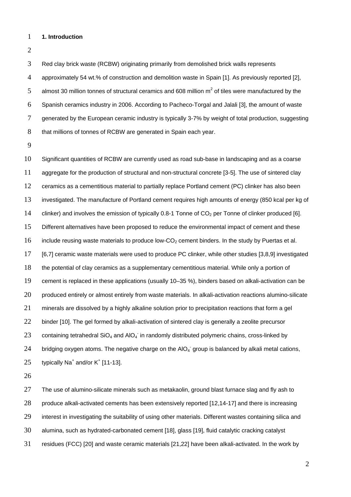## **1. Introduction**

 Red clay brick waste (RCBW) originating primarily from demolished brick walls represents approximately 54 wt.% of construction and demolition waste in Spain [1]. As previously reported [2], 5 almost 30 million tonnes of structural ceramics and 608 million  $m^2$  of tiles were manufactured by the Spanish ceramics industry in 2006. According to Pacheco-Torgal and Jalali [3], the amount of waste 7 generated by the European ceramic industry is typically 3-7% by weight of total production, suggesting 8 that millions of tonnes of RCBW are generated in Spain each year.

 Significant quantities of RCBW are currently used as road sub-base in landscaping and as a coarse aggregate for the production of structural and non-structural concrete [3-5]. The use of sintered clay ceramics as a cementitious material to partially replace Portland cement (PC) clinker has also been investigated. The manufacture of Portland cement requires high amounts of energy (850 kcal per kg of 14 clinker) and involves the emission of typically 0.8-1 Tonne of  $CO<sub>2</sub>$  per Tonne of clinker produced [6]. Different alternatives have been proposed to reduce the environmental impact of cement and these 16 include reusing waste materials to produce low- $CO<sub>2</sub>$  cement binders. In the study by Puertas et al. [6,7] ceramic waste materials were used to produce PC clinker, while other studies [3,8,9] investigated the potential of clay ceramics as a supplementary cementitious material. While only a portion of cement is replaced in these applications (usually 10–35 %), binders based on alkali-activation can be produced entirely or almost entirely from waste materials. In alkali-activation reactions alumino-silicate minerals are dissolved by a highly alkaline solution prior to precipitation reactions that form a gel 22 binder [10]. The gel formed by alkali-activation of sintered clay is generally a zeolite precursor 23 containing tetrahedral SiO<sub>4</sub> and AIO<sub>4</sub> in randomly distributed polymeric chains, cross-linked by 24 bridging oxygen atoms. The negative charge on the AIO<sub>4</sub> group is balanced by alkali metal cations, 25 typically Na<sup>+</sup> and/or  $K^+$  [11-13].

27 The use of alumino-silicate minerals such as metakaolin, ground blast furnace slag and fly ash to 28 produce alkali-activated cements has been extensively reported [12,14-17] and there is increasing 29 interest in investigating the suitability of using other materials. Different wastes containing silica and alumina, such as hydrated-carbonated cement [18], glass [19], fluid catalytic cracking catalyst residues (FCC) [20] and waste ceramic materials [21,22] have been alkali-activated. In the work by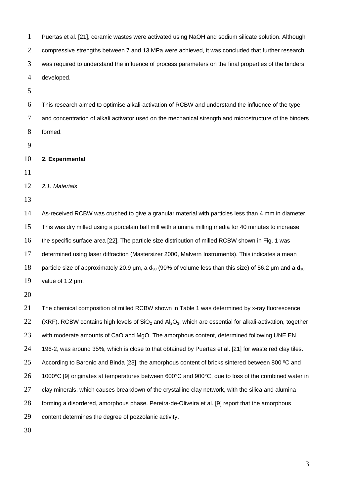| $\mathbf{1}$   | Puertas et al. [21], ceramic wastes were activated using NaOH and sodium silicate solution. Although             |
|----------------|------------------------------------------------------------------------------------------------------------------|
| $\overline{2}$ | compressive strengths between 7 and 13 MPa were achieved, it was concluded that further research                 |
| 3              | was required to understand the influence of process parameters on the final properties of the binders            |
| 4              | developed.                                                                                                       |
| 5              |                                                                                                                  |
| 6              | This research aimed to optimise alkali-activation of RCBW and understand the influence of the type               |
| 7              | and concentration of alkali activator used on the mechanical strength and microstructure of the binders          |
| 8              | formed.                                                                                                          |
| 9              |                                                                                                                  |
| 10             | 2. Experimental                                                                                                  |
| 11             |                                                                                                                  |
| 12             | 2.1. Materials                                                                                                   |
| 13             |                                                                                                                  |
| 14             | As-received RCBW was crushed to give a granular material with particles less than 4 mm in diameter.              |
| 15             | This was dry milled using a porcelain ball mill with alumina milling media for 40 minutes to increase            |
| 16             | the specific surface area [22]. The particle size distribution of milled RCBW shown in Fig. 1 was                |
| 17             | determined using laser diffraction (Mastersizer 2000, Malvern Instruments). This indicates a mean                |
| 18             | particle size of approximately 20.9 µm, a $d_{90}$ (90% of volume less than this size) of 56.2 µm and a $d_{10}$ |
| 19             | value of 1.2 um.                                                                                                 |
| 20             |                                                                                                                  |
| 21             | The chemical composition of milled RCBW shown in Table 1 was determined by x-ray fluorescence                    |
| 22             | (XRF). RCBW contains high levels of $SiO2$ and $Al2O3$ , which are essential for alkali-activation, together     |
| 23             | with moderate amounts of CaO and MgO. The amorphous content, determined following UNE EN                         |
| 24             | 196-2, was around 35%, which is close to that obtained by Puertas et al. [21] for waste red clay tiles.          |
| 25             | According to Baronio and Binda [23], the amorphous content of bricks sintered between 800 °C and                 |
| 26             | 1000°C [9] originates at temperatures between 600°C and 900°C, due to loss of the combined water in              |
| 27             | clay minerals, which causes breakdown of the crystalline clay network, with the silica and alumina               |
| 28             | forming a disordered, amorphous phase. Pereira-de-Oliveira et al. [9] report that the amorphous                  |
| 29             | content determines the degree of pozzolanic activity.                                                            |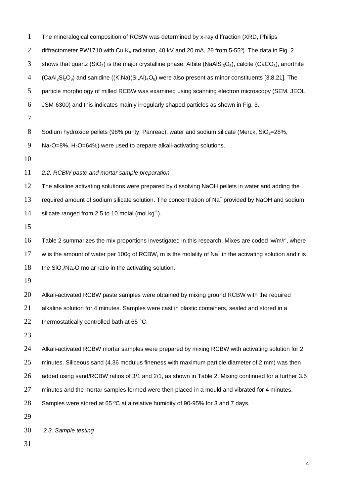| $\mathbf{1}$   | The mineralogical composition of RCBW was determined by x-ray diffraction (XRD, Philips                                                                     |
|----------------|-------------------------------------------------------------------------------------------------------------------------------------------------------------|
| $\overline{2}$ | diffractometer PW1710 with Cu K <sub>a</sub> radiation, 40 kV and 20 mA, 20 from 5-55°). The data in Fig. 2                                                 |
| 3              | shows that quartz (SiO <sub>2</sub> ) is the major crystalline phase. Albite (NaAlSi <sub>3</sub> O <sub>8</sub> ), calcite (CaCO <sub>3</sub> ), anorthite |
| $\overline{4}$ | $(CaAl_2Si_2O_8)$ and sanidine $((K,Na)(Si,Al)_4O_8)$ were also present as minor constituents [3,8,21]. The                                                 |
| 5              | particle morphology of milled RCBW was examined using scanning electron microscopy (SEM, JEOL                                                               |
| 6              | JSM-6300) and this indicates mainly irregularly shaped particles as shown in Fig. 3.                                                                        |
| $\tau$         |                                                                                                                                                             |
| $8\,$          | Sodium hydroxide pellets (98% purity, Panreac), water and sodium silicate (Merck, SiO <sub>2</sub> =28%,                                                    |
| 9              | $Na2O=8\%$ , H <sub>2</sub> O=64%) were used to prepare alkali-activating solutions.                                                                        |
| 10             |                                                                                                                                                             |
| 11             | 2.2. RCBW paste and mortar sample preparation                                                                                                               |
| 12             | The alkaline activating solutions were prepared by dissolving NaOH pellets in water and adding the                                                          |
| 13             | required amount of sodium silicate solution. The concentration of Na <sup>+</sup> provided by NaOH and sodium                                               |
| 14             | silicate ranged from 2.5 to 10 molal (mol.kg $^{-1}$ ).                                                                                                     |
| 15             |                                                                                                                                                             |
| 16             | Table 2 summarizes the mix proportions investigated in this research. Mixes are coded 'w/m/r', where                                                        |
| 17             | w is the amount of water per 100g of RCBW, m is the molality of Na <sup>+</sup> in the activating solution and r is                                         |
| 18             | the $SiO2/Na2O$ molar ratio in the activating solution.                                                                                                     |
| 19             |                                                                                                                                                             |
| 20             | Alkali-activated RCBW paste samples were obtained by mixing ground RCBW with the required                                                                   |
| 21             | alkaline solution for 4 minutes. Samples were cast in plastic containers, sealed and stored in a                                                            |
| 22             | thermostatically controlled bath at 65 °C.                                                                                                                  |
| 23             |                                                                                                                                                             |
| 24             | Alkali-activated RCBW mortar samples were prepared by mixing RCBW with activating solution for 2                                                            |
| 25             | minutes. Siliceous sand (4.36 modulus fineness with maximum particle diameter of 2 mm) was then                                                             |
| 26             | added using sand/RCBW ratios of 3/1 and 2/1, as shown in Table 2. Mixing continued for a further 3.5                                                        |
| 27             | minutes and the mortar samples formed were then placed in a mould and vibrated for 4 minutes.                                                               |
| 28             | Samples were stored at 65 °C at a relative humidity of 90-95% for 3 and 7 days.                                                                             |
| 29             |                                                                                                                                                             |
| 30             | 2.3. Sample testing                                                                                                                                         |
| 31             |                                                                                                                                                             |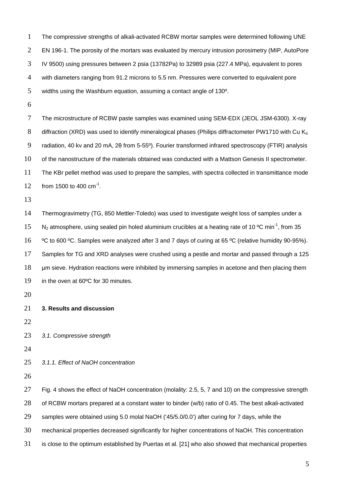The compressive strengths of alkali-activated RCBW mortar samples were determined following UNE EN 196-1. The porosity of the mortars was evaluated by mercury intrusion porosimetry (MIP, AutoPore IV 9500) using pressures between 2 psia (13782Pa) to 32989 psia (227.4 MPa), equivalent to pores with diameters ranging from 91.2 microns to 5.5 nm. Pressures were converted to equivalent pore widths using the Washburn equation, assuming a contact angle of 130º.

 The microstructure of RCBW paste samples was examined using SEM-EDX (JEOL JSM-6300). X-ray 8 diffraction (XRD) was used to identify mineralogical phases (Philips diffractometer PW1710 with Cu K<sub>a</sub> radiation, 40 kv and 20 mA, 2θ from 5-55º). Fourier transformed infrared spectroscopy (FTIR) analysis of the nanostructure of the materials obtained was conducted with a Mattson Genesis II spectrometer. The KBr pellet method was used to prepare the samples, with spectra collected in transmittance mode  $\frac{10^{11}}{2}$  from 1500 to 400 cm<sup>-1</sup>.

 Thermogravimetry (TG, 850 Mettler-Toledo) was used to investigate weight loss of samples under a N<sub>2</sub> atmosphere, using sealed pin holed aluminium crucibles at a heating rate of 10 °C min<sup>-1</sup>, from 35 16 °C to 600 °C. Samples were analyzed after 3 and 7 days of curing at 65 °C (relative humidity 90-95%). Samples for TG and XRD analyses were crushed using a pestle and mortar and passed through a 125  $\mu$ m sieve. Hydration reactions were inhibited by immersing samples in acetone and then placing them in the oven at 60ºC for 30 minutes.

**3. Results and discussion**

- *3.1. Compressive strength*
- 

*3.1.1. Effect of NaOH concentration*

27 Fig. 4 shows the effect of NaOH concentration (molality: 2.5, 5, 7 and 10) on the compressive strength of RCBW mortars prepared at a constant water to binder (w/b) ratio of 0.45. The best alkali-activated samples were obtained using 5.0 molal NaOH ('45/5.0/0.0') after curing for 7 days, while the mechanical properties decreased significantly for higher concentrations of NaOH. This concentration

is close to the optimum established by Puertas et al. [21] who also showed that mechanical properties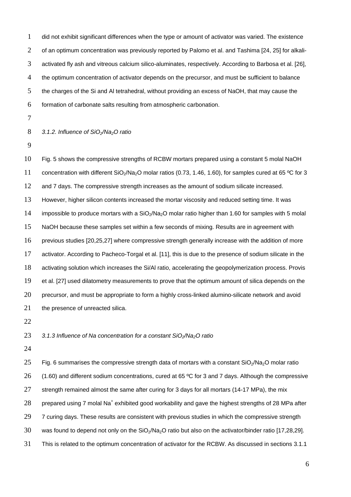did not exhibit significant differences when the type or amount of activator was varied. The existence of an optimum concentration was previously reported by Palomo et al. and Tashima [24, 25] for alkali- activated fly ash and vitreous calcium silico-aluminates, respectively. According to Barbosa et al. [26], the optimum concentration of activator depends on the precursor, and must be sufficient to balance 5 the charges of the Si and AI tetrahedral, without providing an excess of NaOH, that may cause the formation of carbonate salts resulting from atmospheric carbonation.

*3.1.2. Influence of SiO2/Na2O ratio*

 Fig. 5 shows the compressive strengths of RCBW mortars prepared using a constant 5 molal NaOH 11 concentration with different SiO<sub>2</sub>/Na<sub>2</sub>O molar ratios (0.73, 1.46, 1.60), for samples cured at 65 °C for 3 12 and 7 days. The compressive strength increases as the amount of sodium silicate increased. However, higher silicon contents increased the mortar viscosity and reduced setting time. It was 14 impossible to produce mortars with a  $SiO<sub>2</sub>/Na<sub>2</sub>O$  molar ratio higher than 1.60 for samples with 5 molal NaOH because these samples set within a few seconds of mixing. Results are in agreement with previous studies [20,25,27] where compressive strength generally increase with the addition of more activator. According to Pacheco-Torgal et al. [11], this is due to the presence of sodium silicate in the activating solution which increases the Si/Al ratio, accelerating the geopolymerization process. Provis et al. [27] used dilatometry measurements to prove that the optimum amount of silica depends on the precursor, and must be appropriate to form a highly cross-linked alumino-silicate network and avoid 21 the presence of unreacted silica.

*3.1.3 Influence of Na concentration for a constant SiO2/Na2O ratio*

25 Fig. 6 summarises the compressive strength data of mortars with a constant  $SiO<sub>2</sub>/Na<sub>2</sub>O$  molar ratio 26 (1.60) and different sodium concentrations, cured at 65 °C for 3 and 7 days. Although the compressive 27 strength remained almost the same after curing for 3 days for all mortars (14-17 MPa), the mix 28 prepared using 7 molal Na<sup>+</sup> exhibited good workability and gave the highest strengths of 28 MPa after 29 7 curing days. These results are consistent with previous studies in which the compressive strength 30 was found to depend not only on the  $SiO<sub>2</sub>/Na<sub>2</sub>O$  ratio but also on the activator/binder ratio [17,28,29]. This is related to the optimum concentration of activator for the RCBW. As discussed in sections 3.1.1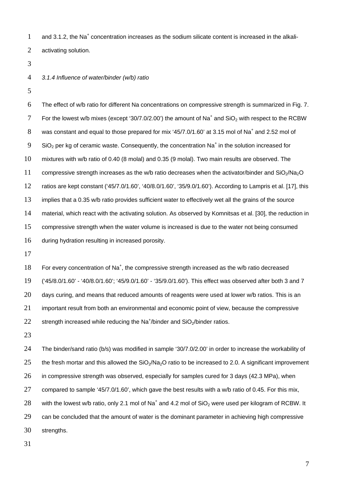and 3.1.2, the Na<sup>+</sup> concentration increases as the sodium silicate content is increased in the alkali-activating solution.

*3.1.4 Influence of water/binder (w/b) ratio*

 The effect of w/b ratio for different Na concentrations on compressive strength is summarized in Fig. 7. 7 For the lowest w/b mixes (except '30/7.0/2.00') the amount of Na<sup>+</sup> and SiO<sub>2</sub> with respect to the RCBW 8 was constant and equal to those prepared for mix '45/7.0/1.60' at 3.15 mol of Na<sup>+</sup> and 2.52 mol of SiO<sub>2</sub> per kg of ceramic waste. Consequently, the concentration Na<sup>+</sup> in the solution increased for mixtures with w/b ratio of 0.40 (8 molal) and 0.35 (9 molal). Two main results are observed. The 11 compressive strength increases as the w/b ratio decreases when the activator/binder and  $SiO<sub>2</sub>/Na<sub>2</sub>O$  ratios are kept constant ('45/7.0/1.60', '40/8.0/1.60', '35/9.0/1.60'). According to Lampris et al. [17], this 13 implies that a 0.35 w/b ratio provides sufficient water to effectively wet all the grains of the source material, which react with the activating solution. As observed by Komnitsas et al. [30], the reduction in compressive strength when the water volume is increased is due to the water not being consumed during hydration resulting in increased porosity.

18 For every concentration of Na<sup>+</sup>, the compressive strength increased as the w/b ratio decreased ('45/8.0/1.60' - '40/8.0/1.60'; '45/9.0/1.60' - '35/9.0/1.60'). This effect was observed after both 3 and 7 20 days curing, and means that reduced amounts of reagents were used at lower w/b ratios. This is an important result from both an environmental and economic point of view, because the compressive 22 strength increased while reducing the Na<sup>+</sup>/binder and SiO<sub>2</sub>/binder ratios.

 The binder/sand ratio (b/s) was modified in sample '30/7.0/2.00' in order to increase the workability of 25 the fresh mortar and this allowed the  $SiO<sub>2</sub>/Na<sub>2</sub>O$  ratio to be increased to 2.0. A significant improvement in compressive strength was observed, especially for samples cured for 3 days (42.3 MPa), when compared to sample '45/7.0/1.60', which gave the best results with a w/b ratio of 0.45. For this mix, 28 with the lowest w/b ratio, only 2.1 mol of Na<sup>+</sup> and 4.2 mol of SiO<sub>2</sub> were used per kilogram of RCBW. It 29 can be concluded that the amount of water is the dominant parameter in achieving high compressive strengths.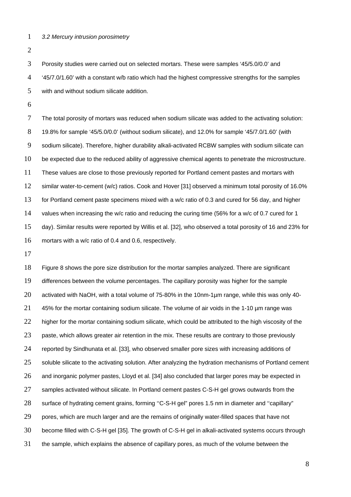*3.2 Mercury intrusion porosimetry*

 Porosity studies were carried out on selected mortars. These were samples '45/5.0/0.0' and '45/7.0/1.60' with a constant w/b ratio which had the highest compressive strengths for the samples with and without sodium silicate addition.

 The total porosity of mortars was reduced when sodium silicate was added to the activating solution: 19.8% for sample '45/5.0/0.0' (without sodium silicate), and 12.0% for sample '45/7.0/1.60' (with sodium silicate). Therefore, higher durability alkali-activated RCBW samples with sodium silicate can be expected due to the reduced ability of aggressive chemical agents to penetrate the microstructure. These values are close to those previously reported for Portland cement pastes and mortars with similar water-to-cement (w/c) ratios. Cook and Hover [31] observed a minimum total porosity of 16.0% for Portland cement paste specimens mixed with a w/c ratio of 0.3 and cured for 56 day, and higher values when increasing the w/c ratio and reducing the curing time (56% for a w/c of 0.7 cured for 1 day). Similar results were reported by Willis et al. [32], who observed a total porosity of 16 and 23% for mortars with a w/c ratio of 0.4 and 0.6, respectively.

 Figure 8 shows the pore size distribution for the mortar samples analyzed. There are significant differences between the volume percentages. The capillary porosity was higher for the sample activated with NaOH, with a total volume of 75-80% in the 10nm-1µm range, while this was only 40-  $-45%$  for the mortar containing sodium silicate. The volume of air voids in the 1-10 µm range was 22 higher for the mortar containing sodium silicate, which could be attributed to the high viscosity of the 23 paste, which allows greater air retention in the mix. These results are contrary to those previously reported by Sindhunata et al. [33], who observed smaller pore sizes with increasing additions of 25 soluble silicate to the activating solution. After analyzing the hydration mechanisms of Portland cement and inorganic polymer pastes, Lloyd et al. [34] also concluded that larger pores may be expected in 27 samples activated without silicate. In Portland cement pastes C-S-H gel grows outwards from the surface of hydrating cement grains, forming ''C-S-H gel" pores 1.5 nm in diameter and ''capillary" 29 pores, which are much larger and are the remains of originally water-filled spaces that have not become filled with C-S-H gel [35]. The growth of C-S-H gel in alkali-activated systems occurs through the sample, which explains the absence of capillary pores, as much of the volume between the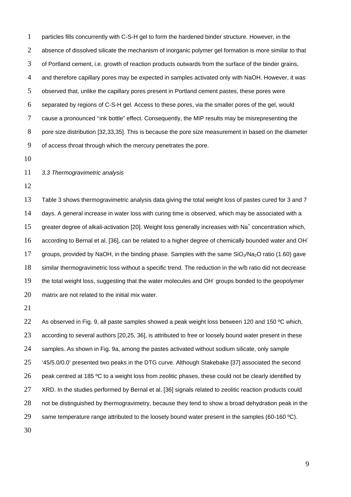particles fills concurrently with C-S-H gel to form the hardened binder structure. However, in the absence of dissolved silicate the mechanism of inorganic polymer gel formation is more similar to that of Portland cement, i.e. growth of reaction products outwards from the surface of the binder grains, and therefore capillary pores may be expected in samples activated only with NaOH. However, it was observed that, unlike the capillary pores present in Portland cement pastes, these pores were separated by regions of C-S-H gel. Access to these pores, via the smaller pores of the gel, would cause a pronounced ''ink bottle" effect. Consequently, the MIP results may be misrepresenting the pore size distribution [32,33,35]. This is because the pore size measurement in based on the diameter of access throat through which the mercury penetrates the pore.

## *3.3 Thermogravimetric analysis*

 Table 3 shows thermogravimetric analysis data giving the total weight loss of pastes cured for 3 and 7 days. A general increase in water loss with curing time is observed, which may be associated with a 15 greater degree of alkali-activation [20]. Weight loss generally increases with Na<sup>+</sup> concentration which, 16 according to Bernal et al. [36], can be related to a higher degree of chemically bounded water and OH<sup>-</sup> 17 groups, provided by NaOH, in the binding phase. Samples with the same  $SiO<sub>2</sub>/Na<sub>2</sub>O$  ratio (1.60) gave similar thermogravimetric loss without a specific trend. The reduction in the w/b ratio did not decrease 19 the total weight loss, suggesting that the water molecules and OH groups bonded to the geopolymer matrix are not related to the initial mix water.

22 As observed in Fig. 9, all paste samples showed a peak weight loss between 120 and 150 °C which, 23 according to several authors [20,25, 36], is attributed to free or loosely bound water present in these samples. As shown in Fig. 9a, among the pastes activated without sodium silicate, only sample '45/5.0/0.0' presented two peaks in the DTG curve. Although Stakebake [37] associated the second 26 peak centred at 185 °C to a weight loss from zeolitic phases, these could not be clearly identified by 27 XRD. In the studies performed by Bernal et al. [36] signals related to zeolitic reaction products could 28 not be distinguished by thermogravimetry, because they tend to show a broad dehydration peak in the 29 same temperature range attributed to the loosely bound water present in the samples (60-160 °C).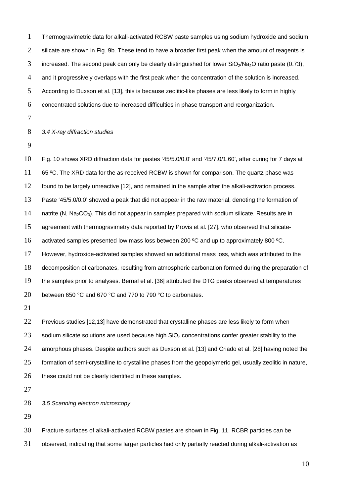Thermogravimetric data for alkali-activated RCBW paste samples using sodium hydroxide and sodium 2 silicate are shown in Fig. 9b. These tend to have a broader first peak when the amount of reagents is 3 increased. The second peak can only be clearly distinguished for lower  $SiO<sub>2</sub>/Na<sub>2</sub>O$  ratio paste (0.73), and it progressively overlaps with the first peak when the concentration of the solution is increased. According to Duxson et al. [13], this is because zeolitic-like phases are less likely to form in highly concentrated solutions due to increased difficulties in phase transport and reorganization.

*3.4 X-ray diffraction studies*

 Fig. 10 shows XRD diffraction data for pastes '45/5.0/0.0' and '45/7.0/1.60', after curing for 7 days at 11 65 °C. The XRD data for the as-received RCBW is shown for comparison. The quartz phase was found to be largely unreactive [12], and remained in the sample after the alkali-activation process. Paste '45/5.0/0.0' showed a peak that did not appear in the raw material, denoting the formation of 14 natrite (N, Na<sub>2</sub>CO<sub>3</sub>). This did not appear in samples prepared with sodium silicate. Results are in agreement with thermogravimetry data reported by Provis et al. [27], who observed that silicate-16 activated samples presented low mass loss between 200 °C and up to approximately 800 °C. However, hydroxide-activated samples showed an additional mass loss, which was attributed to the decomposition of carbonates, resulting from atmospheric carbonation formed during the preparation of the samples prior to analyses. Bernal et al. [36] attributed the DTG peaks observed at temperatures 20 between 650 °C and 670 °C and 770 to 790 °C to carbonates.

22 Previous studies [12,13] have demonstrated that crystalline phases are less likely to form when 23 sodium silicate solutions are used because high  $SiO<sub>2</sub>$  concentrations confer greater stability to the amorphous phases. Despite authors such as Duxson et al. [13] and Criado et al. [28] having noted the formation of semi-crystalline to crystalline phases from the geopolymeric gel, usually zeolitic in nature, 26 these could not be clearly identified in these samples.

*3.5 Scanning electron microscopy* 

Fracture surfaces of alkali-activated RCBW pastes are shown in Fig. 11. RCBR particles can be

observed, indicating that some larger particles had only partially reacted during alkali-activation as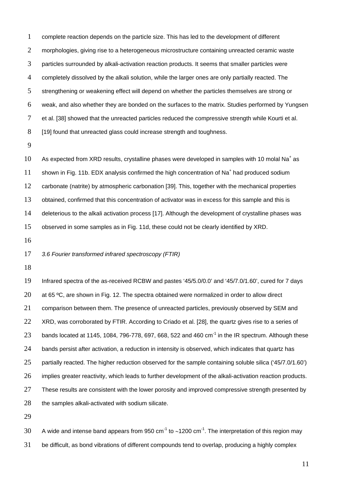complete reaction depends on the particle size. This has led to the development of different 2 morphologies, giving rise to a heterogeneous microstructure containing unreacted ceramic waste particles surrounded by alkali-activation reaction products. It seems that smaller particles were completely dissolved by the alkali solution, while the larger ones are only partially reacted. The 5 strengthening or weakening effect will depend on whether the particles themselves are strong or weak, and also whether they are bonded on the surfaces to the matrix. Studies performed by Yungsen et al. [38] showed that the unreacted particles reduced the compressive strength while Kourti et al. 8 [19] found that unreacted glass could increase strength and toughness.

10 As expected from XRD results, crystalline phases were developed in samples with 10 molal Na<sup>+</sup> as 11 shown in Fig. 11b. EDX analysis confirmed the high concentration of  $\text{Na}^+$  had produced sodium carbonate (natrite) by atmospheric carbonation [39]. This, together with the mechanical properties obtained, confirmed that this concentration of activator was in excess for this sample and this is deleterious to the alkali activation process [17]. Although the development of crystalline phases was observed in some samples as in Fig. 11d, these could not be clearly identified by XRD.

## *3.6 Fourier transformed infrared spectroscopy (FTIR)*

 Infrared spectra of the as-received RCBW and pastes '45/5.0/0.0' and '45/7.0/1.60', cured for 7 days 20 at 65 °C, are shown in Fig. 12. The spectra obtained were normalized in order to allow direct comparison between them. The presence of unreacted particles, previously observed by SEM and XRD, was corroborated by FTIR. According to Criado et al. [28], the quartz gives rise to a series of 23 bands located at 1145, 1084, 796-778, 697, 668, 522 and 460  $cm^{-1}$  in the IR spectrum. Although these bands persist after activation, a reduction in intensity is observed, which indicates that quartz has partially reacted. The higher reduction observed for the sample containing soluble silica ('45/7.0/1.60') implies greater reactivity, which leads to further development of the alkali-activation reaction products. 27 These results are consistent with the lower porosity and improved compressive strength presented by 28 the samples alkali-activated with sodium silicate.

A wide and intense band appears from 950 cm<sup>-1</sup> to ~1200 cm<sup>-1</sup>. The interpretation of this region may be difficult, as bond vibrations of different compounds tend to overlap, producing a highly complex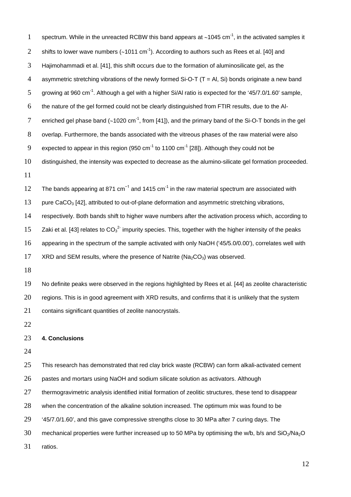| $\mathbf{1}$   | spectrum. While in the unreacted RCBW this band appears at $\sim$ 1045 cm <sup>-1</sup> , in the activated samples it        |
|----------------|------------------------------------------------------------------------------------------------------------------------------|
| $\overline{2}$ | shifts to lower wave numbers ( $\sim$ 1011 cm <sup>-1</sup> ). According to authors such as Rees et al. [40] and             |
| 3              | Hajimohammadi et al. [41], this shift occurs due to the formation of aluminosilicate gel, as the                             |
| $\overline{4}$ | asymmetric stretching vibrations of the newly formed Si-O-T $(T = AI, Si)$ bonds originate a new band                        |
| 5              | growing at 960 cm <sup>-1</sup> . Although a gel with a higher Si/Al ratio is expected for the '45/7.0/1.60' sample,         |
| 6              | the nature of the gel formed could not be clearly distinguished from FTIR results, due to the Al-                            |
| 7              | enriched gel phase band $(\sim 1020 \text{ cm}^{-1})$ , from [41]), and the primary band of the Si-O-T bonds in the gel      |
| 8              | overlap. Furthermore, the bands associated with the vitreous phases of the raw material were also                            |
| 9              | expected to appear in this region (950 cm <sup>-1</sup> to 1100 cm <sup>-1</sup> [28]). Although they could not be           |
| 10             | distinguished, the intensity was expected to decrease as the alumino-silicate gel formation proceeded.                       |
| 11             |                                                                                                                              |
| 12             | The bands appearing at 871 $cm^{-1}$ and 1415 $cm^{-1}$ in the raw material spectrum are associated with                     |
| 13             | pure CaCO <sub>3</sub> [42], attributed to out-of-plane deformation and asymmetric stretching vibrations,                    |
| 14             | respectively. Both bands shift to higher wave numbers after the activation process which, according to                       |
| 15             | Zaki et al. [43] relates to $CO32$ impurity species. This, together with the higher intensity of the peaks                   |
| 16             | appearing in the spectrum of the sample activated with only NaOH ('45/5.0/0.00'), correlates well with                       |
| 17             | XRD and SEM results, where the presence of Natrite ( $Na2CO3$ ) was observed.                                                |
| 18             |                                                                                                                              |
| 19             | No definite peaks were observed in the regions highlighted by Rees et al. [44] as zeolite characteristic                     |
| 20             | regions. This is in good agreement with XRD results, and confirms that it is unlikely that the system                        |
| 21             | contains significant quantities of zeolite nanocrystals.                                                                     |
| 22             |                                                                                                                              |
| 23             | 4. Conclusions                                                                                                               |
| 24             |                                                                                                                              |
| 25             | This research has demonstrated that red clay brick waste (RCBW) can form alkali-activated cement                             |
| 26             | pastes and mortars using NaOH and sodium silicate solution as activators. Although                                           |
| 27             | thermogravimetric analysis identified initial formation of zeolitic structures, these tend to disappear                      |
| 28             | when the concentration of the alkaline solution increased. The optimum mix was found to be                                   |
| 29             | '45/7.0/1.60', and this gave compressive strengths close to 30 MPa after 7 curing days. The                                  |
| 30             | mechanical properties were further increased up to 50 MPa by optimising the w/b, b/s and SiO <sub>2</sub> /Na <sub>2</sub> O |
| 31             | ratios.                                                                                                                      |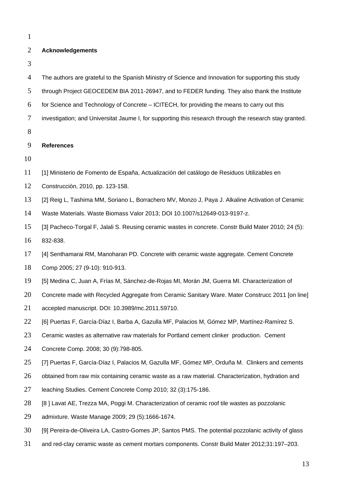## **Acknowledgements**

| The authors are grateful to the Spanish Ministry of Science and Innovation for supporting this study    |
|---------------------------------------------------------------------------------------------------------|
| through Project GEOCEDEM BIA 2011-26947, and to FEDER funding. They also thank the Institute            |
| for Science and Technology of Concrete – ICITECH, for providing the means to carry out this             |
| investigation; and Universitat Jaume I, for supporting this research through the research stay granted. |
|                                                                                                         |
| <b>References</b>                                                                                       |
|                                                                                                         |
| [1] Ministerio de Fomento de España, Actualización del catálogo de Residuos Utilizables en              |
| Construcción, 2010, pp. 123-158.                                                                        |
| [2] Reig L, Tashima MM, Soriano L, Borrachero MV, Monzo J, Paya J. Alkaline Activation of Ceramic       |
| Waste Materials. Waste Biomass Valor 2013; DOI 10.1007/s12649-013-9197-z.                               |
| [3] Pacheco-Torgal F, Jalali S. Reusing ceramic wastes in concrete. Constr Build Mater 2010; 24 (5):    |
| 832-838.                                                                                                |
| [4] Senthamarai RM, Manoharan PD. Concrete with ceramic waste aggregate. Cement Concrete                |
| Comp 2005; 27 (9-10): 910-913.                                                                          |
| [5] Medina C, Juan A, Frías M, Sánchez-de-Rojas MI, Morán JM, Guerra MI. Characterization of            |
| Concrete made with Recycled Aggregate from Ceramic Sanitary Ware. Mater Construcc 2011 [on line]        |
| accepted manuscript. DOI: 10.3989/mc.2011.59710.                                                        |
| [6] Puertas F, García-Díaz I, Barba A, Gazulla MF, Palacios M, Gómez MP, Martínez-Ramírez S.            |
| Ceramic wastes as alternative raw materials for Portland cement clinker production. Cement              |
| Concrete Comp. 2008; 30 (9):798-805.                                                                    |
| [7] Puertas F, García-Díaz I, Palacios M, Gazulla MF, Gómez MP, Orduña M. Clinkers and cements          |
| obtained from raw mix containing ceramic waste as a raw material. Characterization, hydration and       |
| leaching Studies. Cement Concrete Comp 2010; 32 (3):175-186.                                            |
| [8] Lavat AE, Trezza MA, Poggi M. Characterization of ceramic roof tile wastes as pozzolanic            |
| admixture. Waste Manage 2009; 29 (5):1666-1674.                                                         |
| [9] Pereira-de-Oliveira LA, Castro-Gomes JP, Santos PMS. The potential pozzolanic activity of glass     |
| and red-clay ceramic waste as cement mortars components. Constr Build Mater 2012;31:197-203.            |
|                                                                                                         |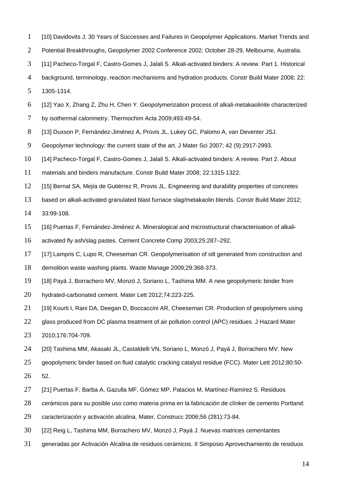- [10] Davidovits J. 30 Years of Successes and Failures in Geopolymer Applications. Market Trends and
- Potential Breakthroughs, Geopolymer 2002 Conference 2002; October 28-29, Melbourne, Australia.
- [11] Pacheco-Torgal F, Castro-Gomes J, Jalali S. Alkali-activated binders: A review. Part 1. Historical
- background, terminology, reaction mechanisms and hydration products. Constr Build Mater 2008; 22:

1305-1314.

- [12] Yao X, Zhang Z, Zhu H, Chen Y. Geopolymerization process of alkali-metakaolinite characterized
- 7 by isothermal calorimetry. Thermochim Acta 2009;493:49-54.
- 8 [13] Duxson P, Fernández-Jiménez A, Provis JL, Lukey GC, Palomo A, van Deventer JSJ.
- Geopolymer technology: the current state of the art. J Mater Sci 2007; 42 (9):2917-2993.
- [14] Pacheco-Torgal F, Castro-Gomes J, Jalali S. Alkali-activated binders: A review. Part 2. About
- materials and binders manufacture. Constr Build Mater 2008; 22:1315-1322.
- [15] Bernal SA, Mejía de Gutiérrez R, Provis JL. Engineering and durability properties of concretes
- based on alkali-activated granulated blast furnace slag/metakaolin blends. Constr Build Mater 2012;
- 33:99-108.
- [16] Puertas F, Fernández-Jiménez A. Mineralogical and microstructural characterisation of alkali-
- activated fly ash/slag pastes. Cement Concrete Comp 2003;25:287–292.
- 17 [17] Lampris C, Lupo R, Cheeseman CR. Geopolymerisation of silt generated from construction and
- demolition waste washing plants. Waste Manage 2009;29:368-373.
- [18] Payá J, Borrachero MV, Monzó J, Soriano L, Tashima MM. A new geopolymeric binder from
- hydrated-carbonated cement. Mater Lett 2012;74:223-225.
- [19] Kourti I, Rani DA, Deegan D, Boccaccini AR, Cheeseman CR. Production of geopolymers using
- 22 glass produced from DC plasma treatment of air pollution control (APC) residues. J Hazard Mater
- 2010;176:704-709.
- 24 [20] Tashima MM, Akasaki JL, Castaldelli VN, Soriano L, Monzó J, Payá J, Borrachero MV. New
- geopolymeric binder based on fluid catalytic cracking catalyst residue (FCC). Mater Lett 2012;80:50-
- 52.
- [21] Puertas F, Barba A, Gazulla MF, Gómez MP, Palacios M, Martínez-Ramírez S. Residuos
- cerámicos para su posible uso como materia prima en la fabricación de clínker de cemento Portland:
- caracterización y activación alcalina. Mater. Construcc 2006;56 (281):73-84.
- [22] Reig L, Tashima MM, Borrachero MV, Monzó J, Payá J. Nuevas matrices cementantes
- generadas por Activación Alcalina de residuos cerámicos. II Simposio Aprovechamiento de residuos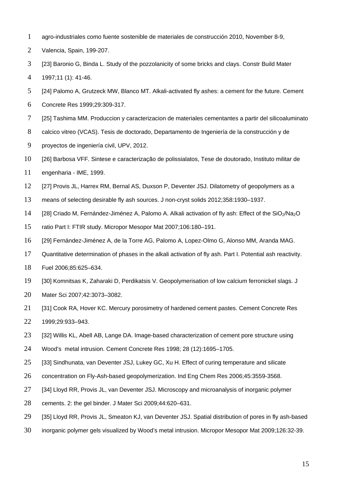- agro-industriales como fuente sostenible de materiales de construcción 2010, November 8-9,
- Valencia, Spain, 199-207.
- [23] Baronio G, Binda L. Study of the pozzolanicity of some bricks and clays. Constr Build Mater
- 1997;11 (1): 41-46.
- [24] Palomo A, Grutzeck MW, Blanco MT. Alkali-activated fly ashes: a cement for the future. Cement
- Concrete Res 1999;29:309-317.
- [25] Tashima MM. Produccion y caracterizacion de materiales cementantes a partir del silicoaluminato
- calcico vitreo (VCAS). Tesis de doctorado, Departamento de Ingeniería de la construcción y de
- proyectos de ingeniería civil, UPV, 2012.
- [26] Barbosa VFF. Sintese e caracterização de polissialatos, Tese de doutorado, Instituto militar de
- engenharia IME, 1999.
- [27] Provis JL, Harrex RM, Bernal AS, Duxson P, Deventer JSJ. Dilatometry of geopolymers as a
- means of selecting desirable fly ash sources. J non-cryst solids 2012;358:1930–1937.
- 14 [28] Criado M, Fernández-Jiménez A, Palomo A. Alkali activation of fly ash: Effect of the SiO<sub>2</sub>/Na<sub>2</sub>O
- ratio Part I: FTIR study. Micropor Mesopor Mat 2007;106:180–191.
- [29] Fernández-Jiménez A, de la Torre AG, Palomo A, Lopez-Olmo G, Alonso MM, Aranda MAG.
- Quantitative determination of phases in the alkali activation of fly ash. Part I. Potential ash reactivity.
- Fuel 2006;85:625–634.
- [30] Komnitsas K, Zaharaki D, Perdikatsis V. Geopolymerisation of low calcium ferronickel slags. J
- Mater Sci 2007;42:3073–3082.
- 21 [31] Cook RA, Hover KC. Mercury porosimetry of hardened cement pastes. Cement Concrete Res
- 1999;29:933–943.
- 23 [32] Willis KL, Abell AB, Lange DA. Image-based characterization of cement pore structure using
- Wood's metal intrusion. Cement Concrete Res 1998; 28 (12):1695–1705.
- 25 [33] Sindhunata, van Deventer JSJ, Lukey GC, Xu H. Effect of curing temperature and silicate
- concentration on Fly-Ash-based geopolymerization. Ind Eng Chem Res 2006;45:3559-3568.
- [34] Lloyd RR, Provis JL, van Deventer JSJ. Microscopy and microanalysis of inorganic polymer
- cements. 2: the gel binder. J Mater Sci 2009;44:620–631.
- [35] Lloyd RR, Provis JL, Smeaton KJ, van Deventer JSJ. Spatial distribution of pores in fly ash-based
- inorganic polymer gels visualized by Wood's metal intrusion. Micropor Mesopor Mat 2009;126:32-39.